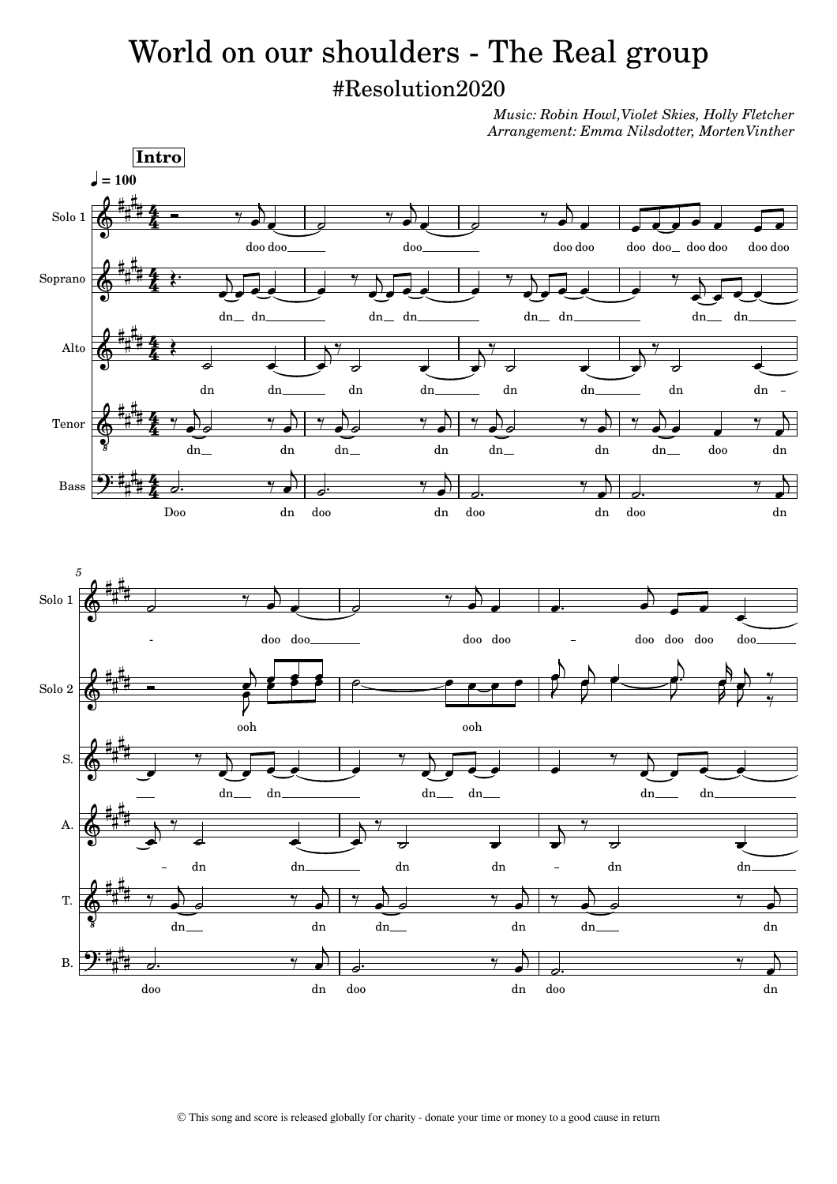## #Resolution2020 World on our shoulders - The Real group

*Music: Robin Howl,Violet Skies, Holly Fletcher Arrangement: Emma Nilsdotter, MortenVinther*

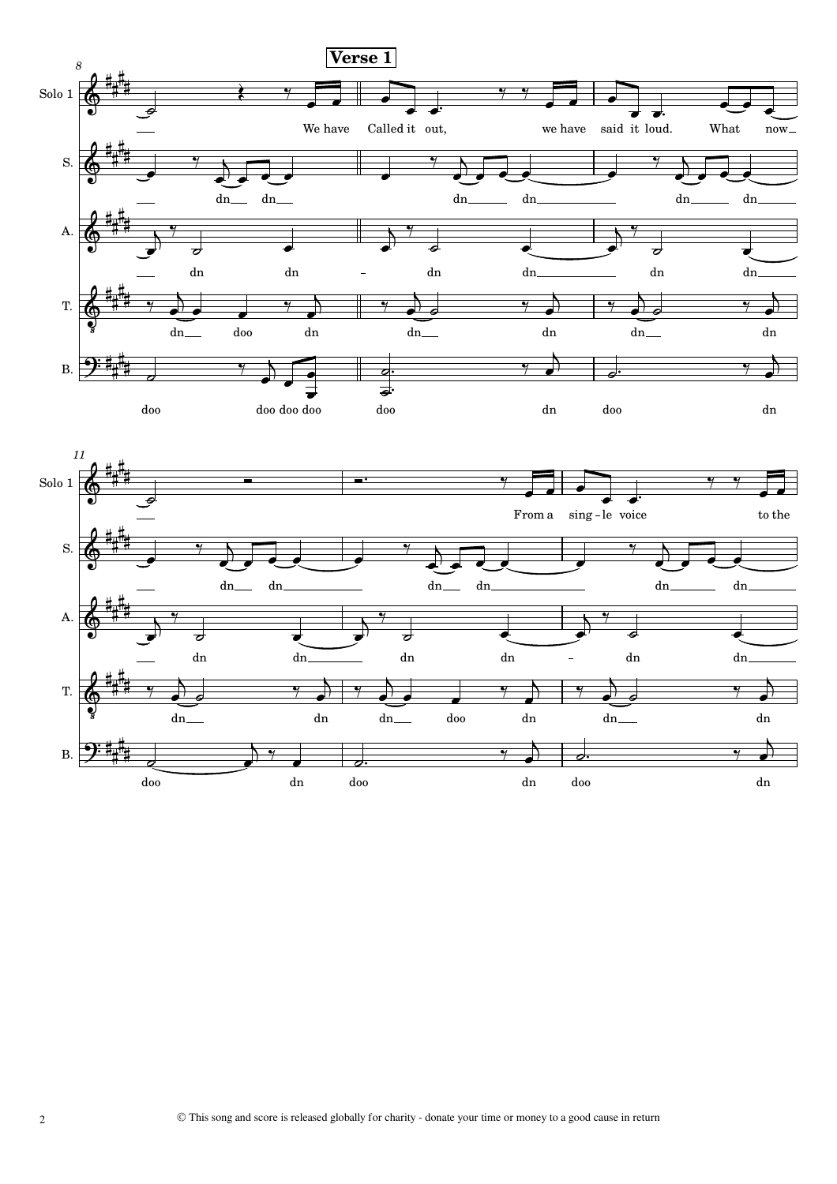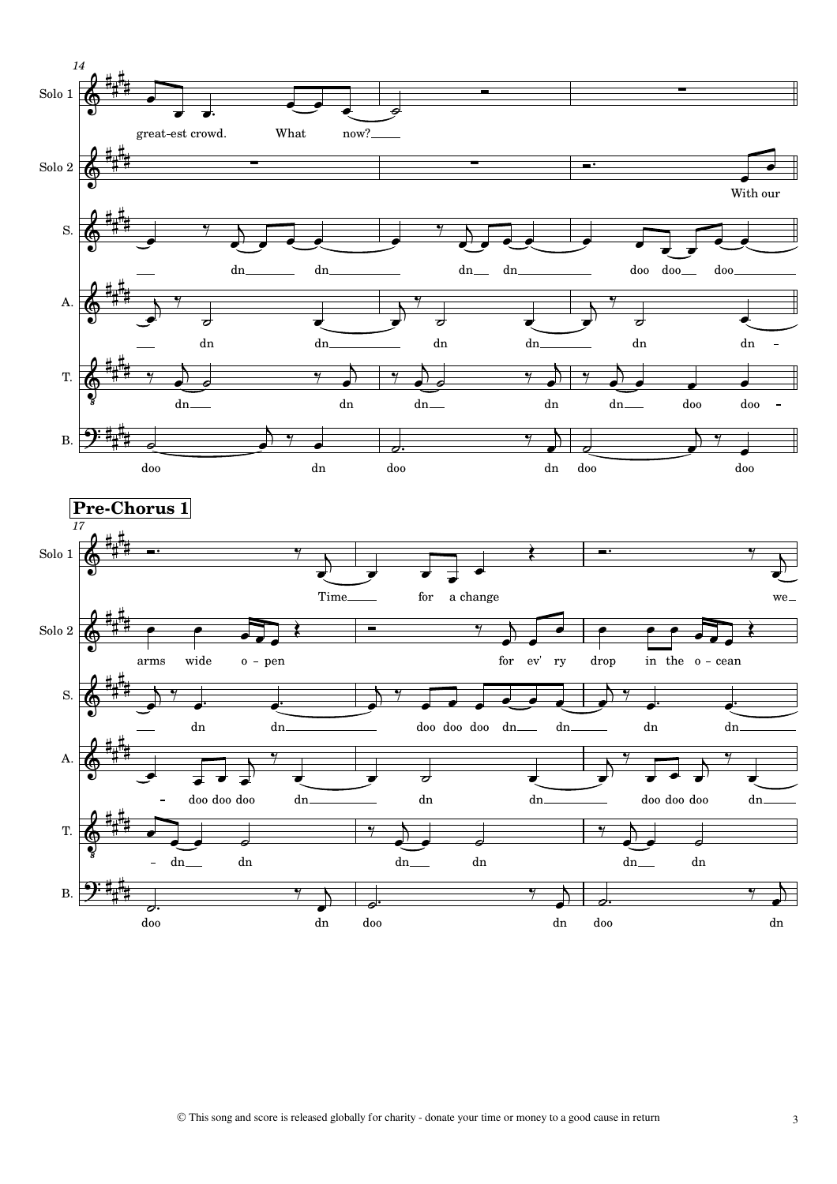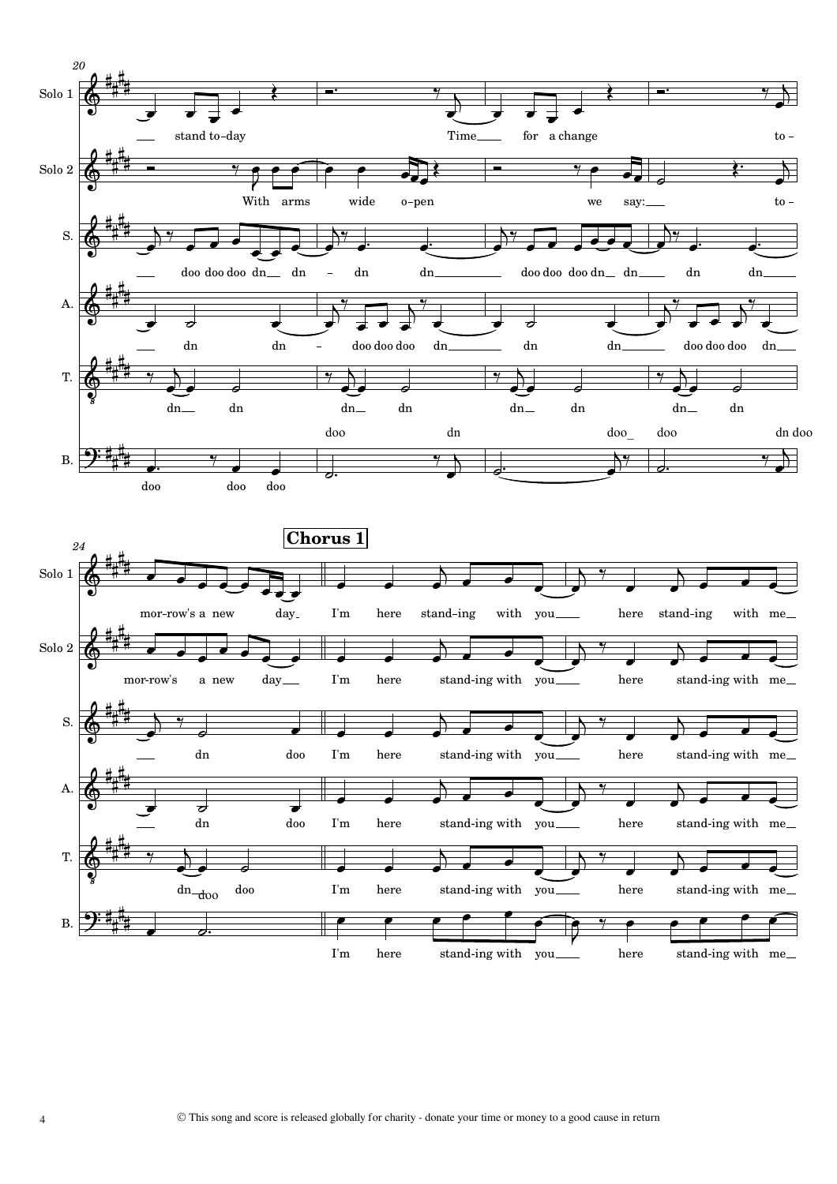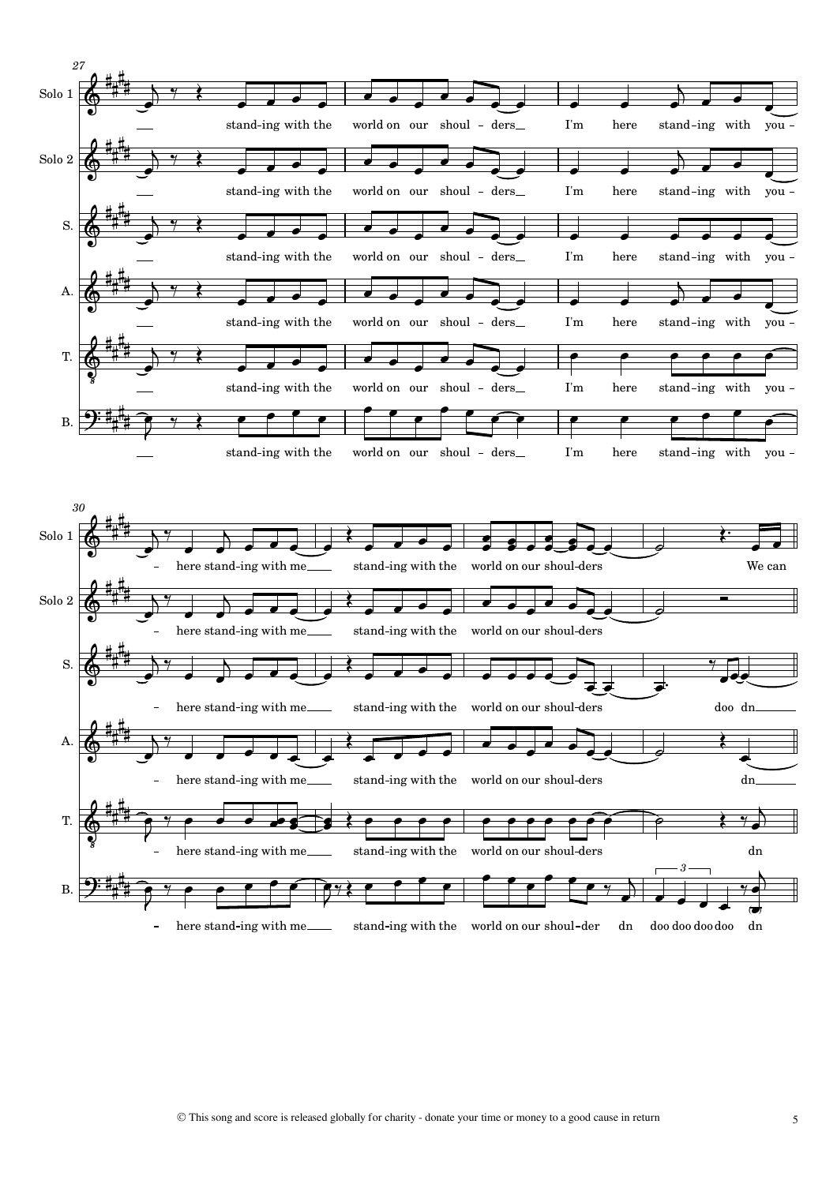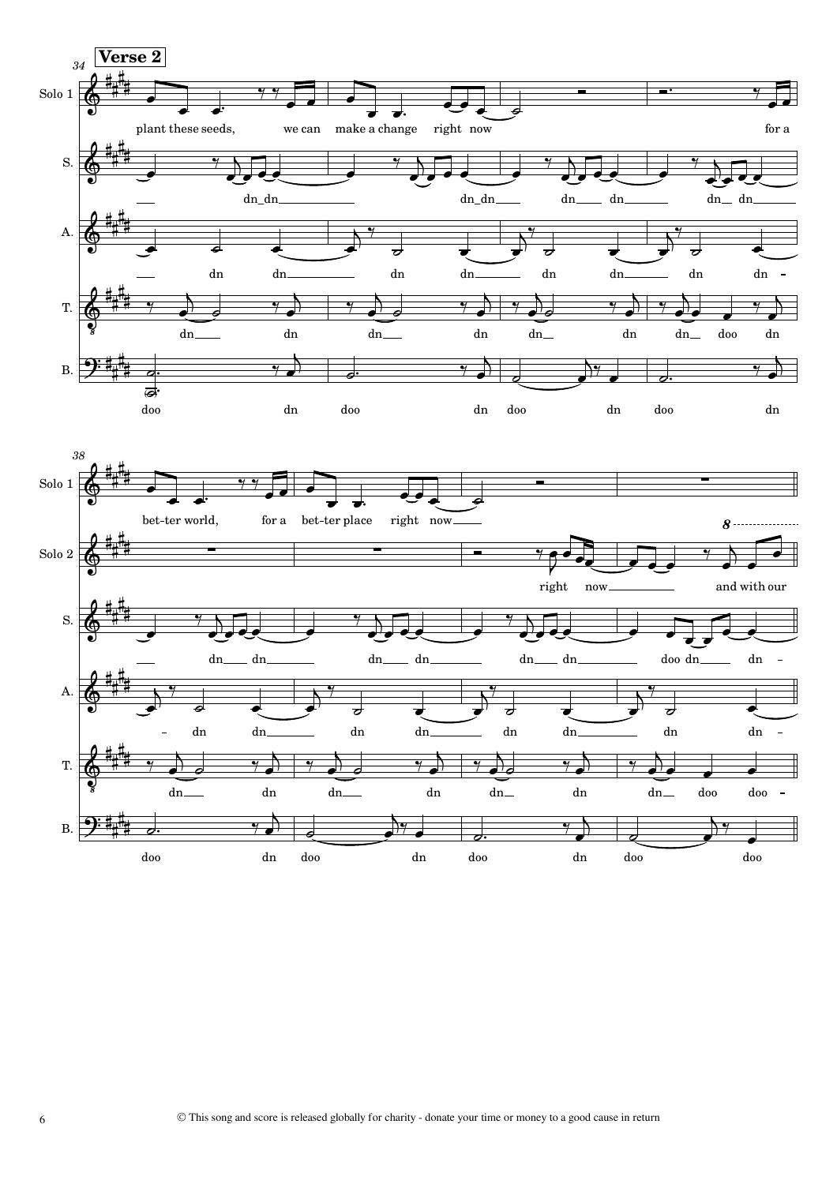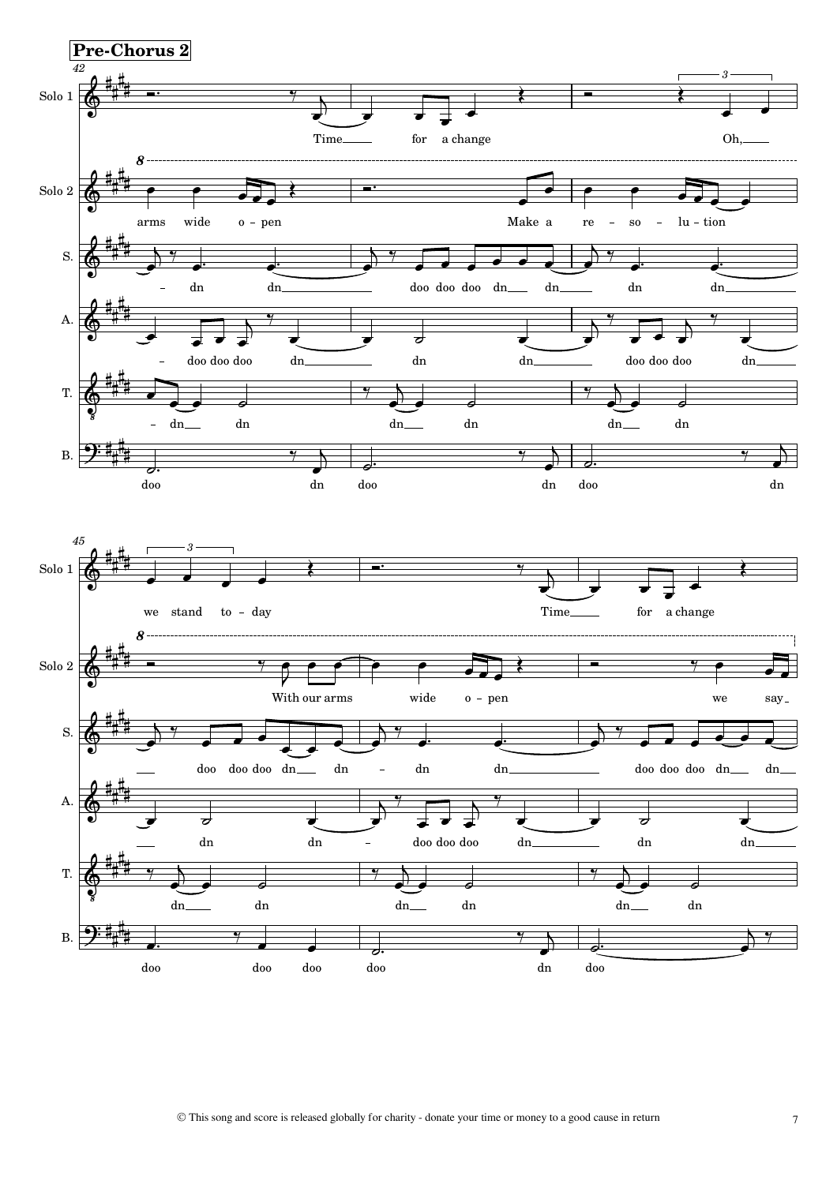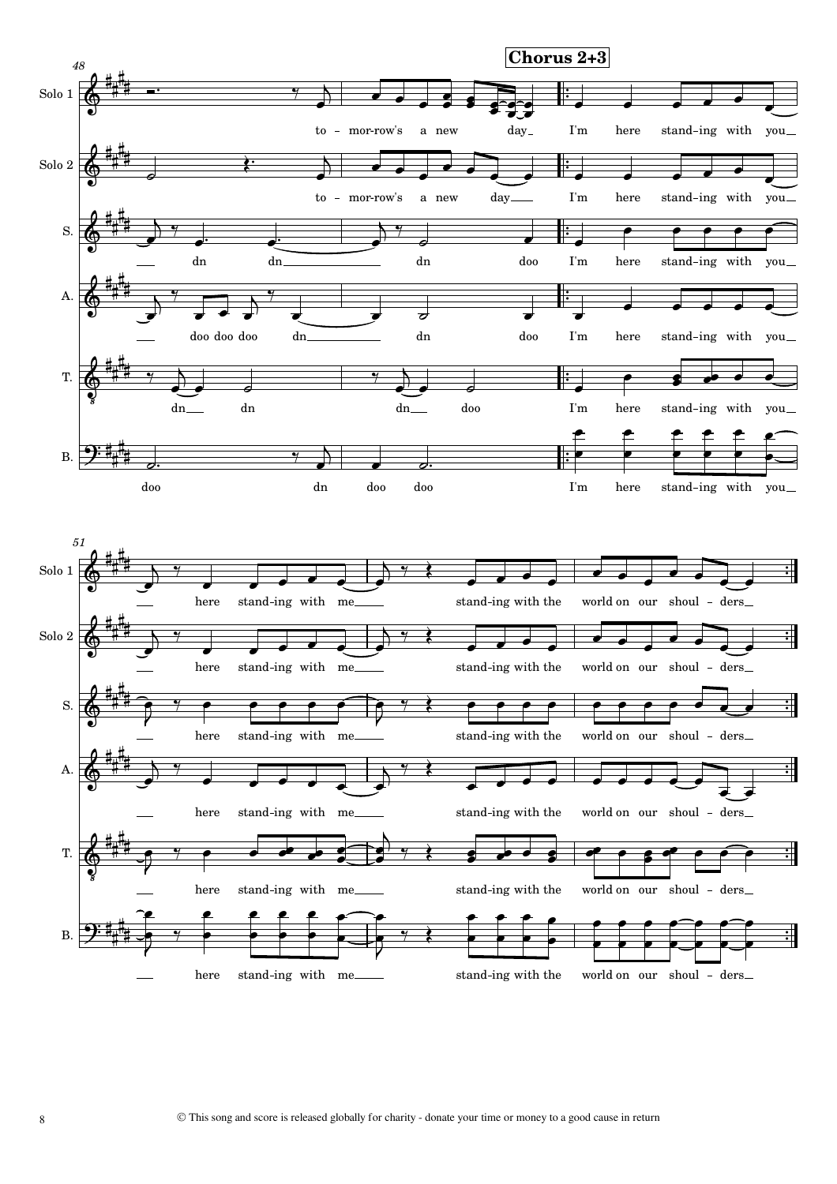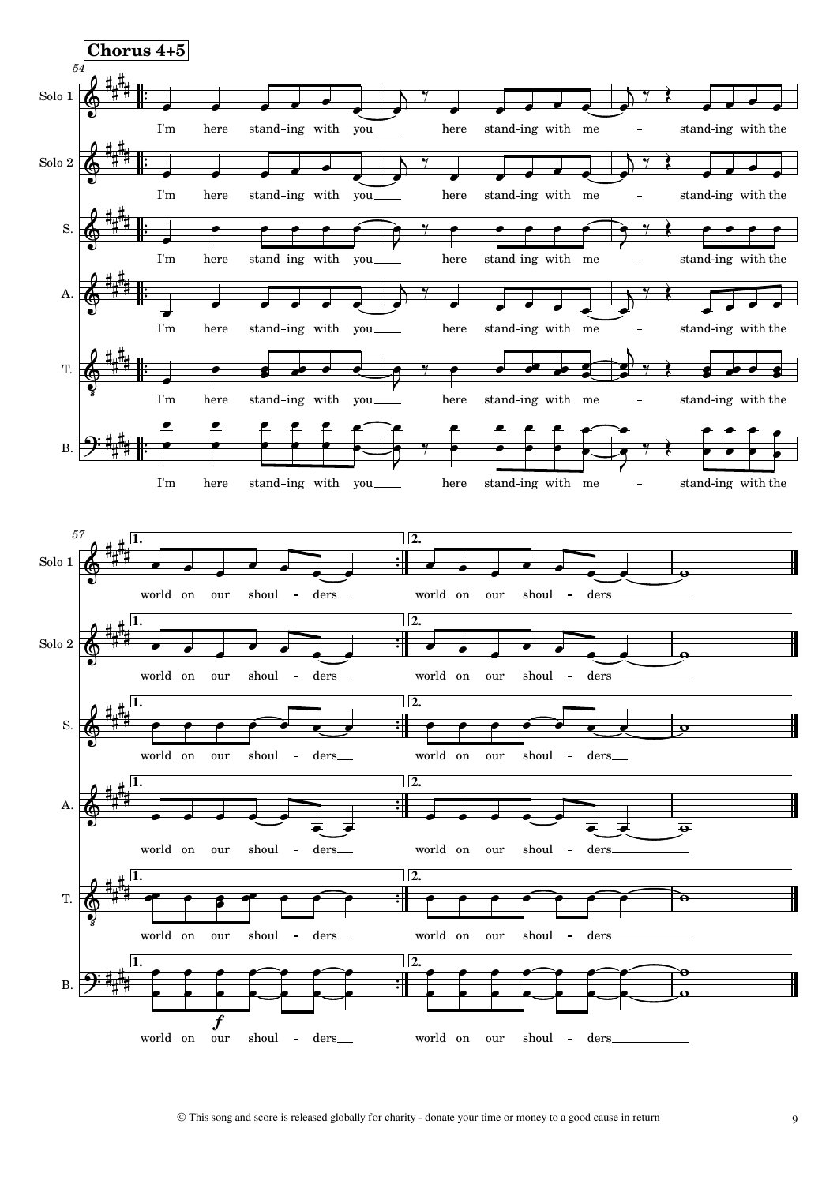